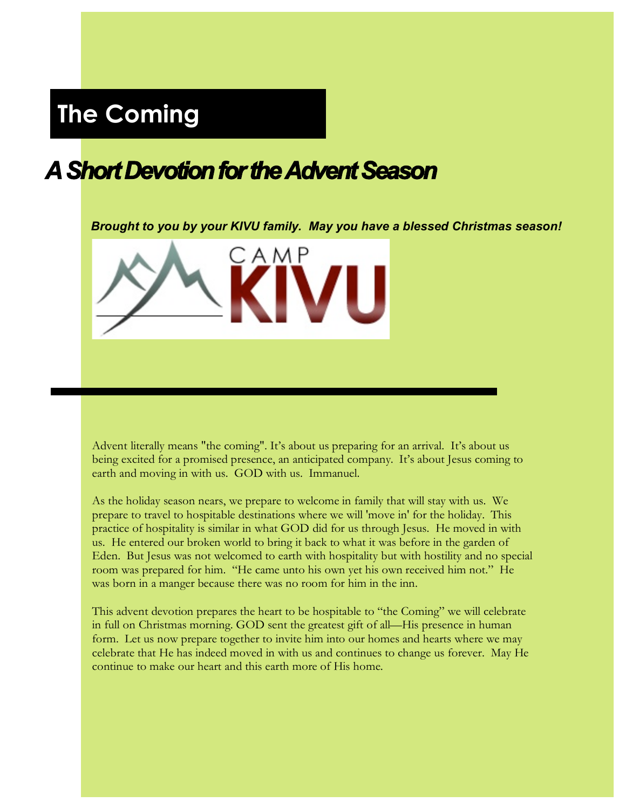# **The Coming**

# *A Short Devotion for the Advent Season*

*Brought to you by your KIVU family. May you have a blessed Christmas season!*



Advent literally means "the coming". It's about us preparing for an arrival. It's about us being excited for a promised presence, an anticipated company. It's about Jesus coming to earth and moving in with us. GOD with us. Immanuel.

As the holiday season nears, we prepare to welcome in family that will stay with us. We prepare to travel to hospitable destinations where we will 'move in' for the holiday. This practice of hospitality is similar in what GOD did for us through Jesus. He moved in with us. He entered our broken world to bring it back to what it was before in the garden of Eden. But Jesus was not welcomed to earth with hospitality but with hostility and no special room was prepared for him. "He came unto his own yet his own received him not." He was born in a manger because there was no room for him in the inn.

This advent devotion prepares the heart to be hospitable to "the Coming" we will celebrate in full on Christmas morning. GOD sent the greatest gift of all—His presence in human form. Let us now prepare together to invite him into our homes and hearts where we may celebrate that He has indeed moved in with us and continues to change us forever. May He continue to make our heart and this earth more of His home.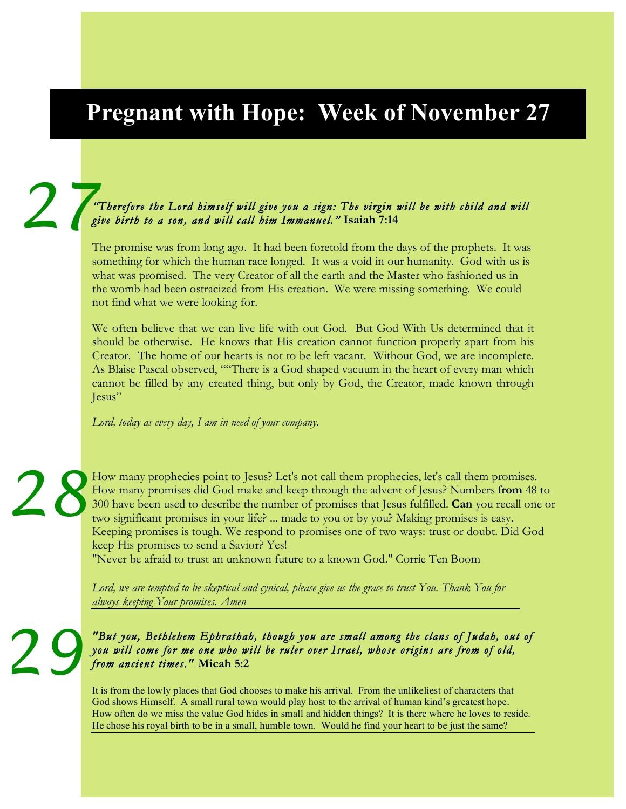# **Pregnant with Hope: Week of November 27**

### *"Therefore the Lord himself will give you a sign: The virgin will be with child and will give birth to a son, and will call him Immanuel."* **Isaiah 7:14** 2<sup>*m*</sup>

The promise was from long ago. It had been foretold from the days of the prophets. It was something for which the human race longed. It was a void in our humanity. God with us is what was promised. The very Creator of all the earth and the Master who fashioned us in the womb had been ostracized from His creation. We were missing something. We could not find what we were looking for.

We often believe that we can live life with out God. But God With Us determined that it should be otherwise. He knows that His creation cannot function properly apart from his Creator. The home of our hearts is not to be left vacant. Without God, we are incomplete. As Blaise Pascal observed, ""There is a God shaped vacuum in the heart of every man which cannot be filled by any created thing, but only by God, the Creator, made known through Jesus"

*Lord, today as every day, I am in need of your company.* 

How many prophecies point to Jesus? Let's not call them prophecies, let's call them promises. How many promises did God make and keep through the advent of Jesus? Numbers **from** 48 to 300 have been used to describe the number of promises that Jesus fulfilled. **Can** you recall one or two significant promises in your life? ... made to you or by you? Making promises is easy. Keeping promises is tough. We respond to promises one of two ways: trust or doubt. Did God keep His promises to send a Savior? Yes! *28*

"Never be afraid to trust an unknown future to a known God." Corrie Ten Boom

*Lord, we are tempted to be skeptical and cynical, please give us the grace to trust You. Thank You for always keeping Your promises. Amen*

*29*

### *"But you, Bethlehem Ephrathah, though you are small among the clans of Judah, out of you will come for me one who will be ruler over Israel, whose origins are from of old, from ancient times."* **Micah 5:2**

It is from the lowly places that God chooses to make his arrival. From the unlikeliest of characters that God shows Himself. A small rural town would play host to the arrival of human kind's greatest hope. How often do we miss the value God hides in small and hidden things? It is there where he loves to reside. He chose his royal birth to be in a small, humble town. Would he find your heart to be just the same?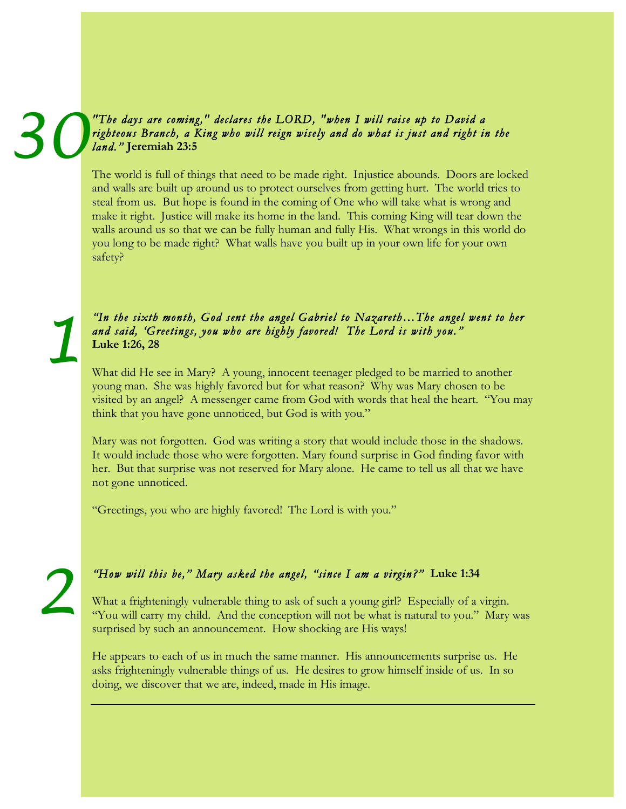### *"The days are coming," declares the LORD, "when I will raise up to David a righteous Branch, a King who will reign wisely and do what is just and right in the land."* **Jeremiah 23:5** *30*

The world is full of things that need to be made right. Injustice abounds. Doors are locked and walls are built up around us to protect ourselves from getting hurt. The world tries to steal from us. But hope is found in the coming of One who will take what is wrong and make it right. Justice will make its home in the land. This coming King will tear down the walls around us so that we can be fully human and fully His. What wrongs in this world do you long to be made right? What walls have you built up in your own life for your own safety?

### *"In the sixth month, God sent the angel Gabriel to Nazareth…The angel went to her and said, 'Greetings, you who are highly favored! The Lord is with you."* **Luke 1:26, 28**

What did He see in Mary? A young, innocent teenager pledged to be married to another young man. She was highly favored but for what reason? Why was Mary chosen to be visited by an angel? A messenger came from God with words that heal the heart. "You may think that you have gone unnoticed, but God is with you."

Mary was not forgotten. God was writing a story that would include those in the shadows. It would include those who were forgotten. Mary found surprise in God finding favor with her. But that surprise was not reserved for Mary alone. He came to tell us all that we have not gone unnoticed.

"Greetings, you who are highly favored! The Lord is with you."

### *"How will this be," Mary asked the angel, "since I am a virgin?"* **Luke 1:34**

What a frighteningly vulnerable thing to ask of such a young girl? Especially of a virgin. "You will carry my child. And the conception will not be what is natural to you." Mary was surprised by such an announcement. How shocking are His ways!

He appears to each of us in much the same manner. His announcements surprise us. He asks frighteningly vulnerable things of us. He desires to grow himself inside of us. In so doing, we discover that we are, indeed, made in His image.

*2*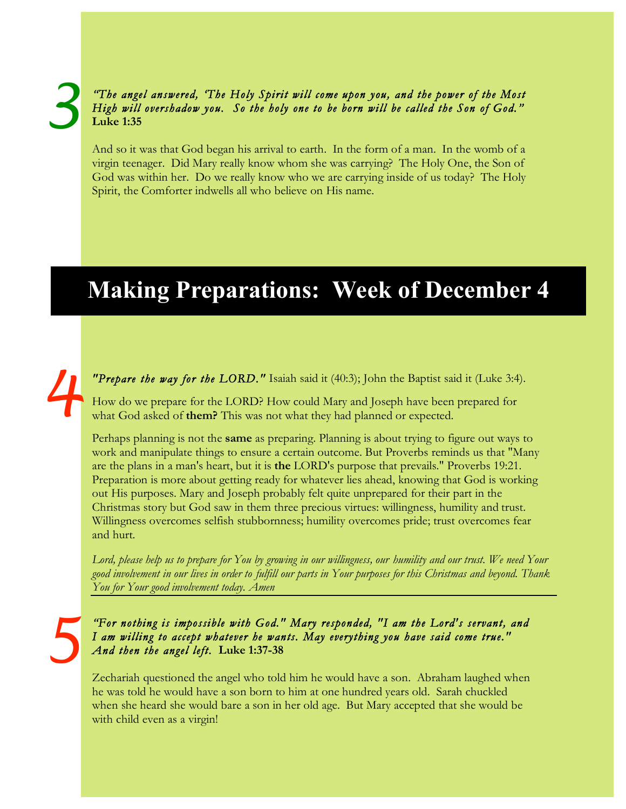### *"The angel answered, 'The Holy Spirit will come upon you, and the power of the Most High will overshadow you. So the holy one to be born will be called the Son of God."* **Luke 1:35**

And so it was that God began his arrival to earth. In the form of a man. In the womb of a virgin teenager. Did Mary really know whom she was carrying? The Holy One, the Son of God was within her. Do we really know who we are carrying inside of us today? The Holy Spirit, the Comforter indwells all who believe on His name.

# **Making Preparations: Week of December 4**

*4*

*"Prepare the way for the LORD."* Isaiah said it (40:3); John the Baptist said it (Luke 3:4).

How do we prepare for the LORD? How could Mary and Joseph have been prepared for what God asked of **them?** This was not what they had planned or expected.

Perhaps planning is not the **same** as preparing. Planning is about trying to figure out ways to work and manipulate things to ensure a certain outcome. But Proverbs reminds us that "Many are the plans in a man's heart, but it is **the** LORD's purpose that prevails." Proverbs 19:21. Preparation is more about getting ready for whatever lies ahead, knowing that God is working out His purposes. Mary and Joseph probably felt quite unprepared for their part in the Christmas story but God saw in them three precious virtues: willingness, humility and trust. Willingness overcomes selfish stubbornness; humility overcomes pride; trust overcomes fear and hurt.

*Lord, please help us to prepare for You by growing in our willingness, our humility and our trust. We need Your good involvement in our lives in order to fulfill our parts in Your purposes for this Christmas and beyond. Thank You for Your good involvement today. Amen*

*5*

*"For nothing is impossible with God." Mary responded, "I am the Lord's servant, and I am willing to accept whatever he wants. May everything you have said come true." And then the angel left.* **Luke 1:37-38**

Zechariah questioned the angel who told him he would have a son. Abraham laughed when he was told he would have a son born to him at one hundred years old. Sarah chuckled when she heard she would bare a son in her old age. But Mary accepted that she would be with child even as a virgin!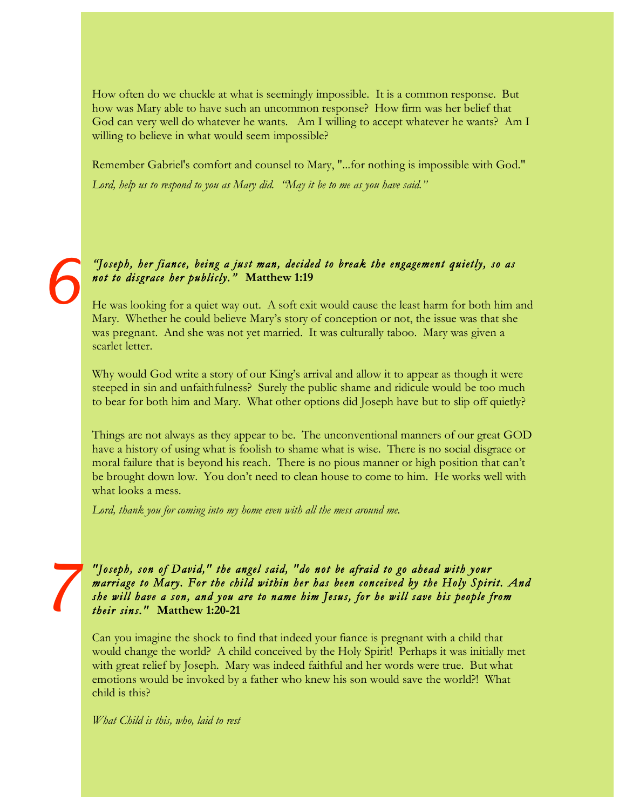How often do we chuckle at what is seemingly impossible. It is a common response. But how was Mary able to have such an uncommon response? How firm was her belief that God can very well do whatever he wants. Am I willing to accept whatever he wants? Am I willing to believe in what would seem impossible?

Remember Gabriel's comfort and counsel to Mary, "...for nothing is impossible with God." *Lord, help us to respond to you as Mary did. "May it be to me as you have said."*

### *"Joseph, her fiance' being a just man, decided to break the engagement quietly, so as not to disgrace her publicly."* **Matthew 1:19**

He was looking for a quiet way out. A soft exit would cause the least harm for both him and Mary. Whether he could believe Mary's story of conception or not, the issue was that she was pregnant. And she was not yet married. It was culturally taboo. Mary was given a scarlet letter.

Why would God write a story of our King's arrival and allow it to appear as though it were steeped in sin and unfaithfulness? Surely the public shame and ridicule would be too much to bear for both him and Mary. What other options did Joseph have but to slip off quietly?

Things are not always as they appear to be. The unconventional manners of our great GOD have a history of using what is foolish to shame what is wise. There is no social disgrace or moral failure that is beyond his reach. There is no pious manner or high position that can't be brought down low. You don't need to clean house to come to him. He works well with what looks a mess.

*Lord, thank you for coming into my home even with all the mess around me.*

*"Joseph, son of David," the angel said, "do not be afraid to go ahead with your marriage to Mary. For the child within her has been conceived by the Holy Spirit. And she will have a son, and you are to name him Jesus, for he will save his people from their sins."* **Matthew 1:20-21**

Can you imagine the shock to find that indeed your fiance is pregnant with a child that would change the world? A child conceived by the Holy Spirit! Perhaps it was initially met with great relief by Joseph. Mary was indeed faithful and her words were true. But what emotions would be invoked by a father who knew his son would save the world?! What child is this?

*What Child is this, who, laid to rest*

*6*

*7*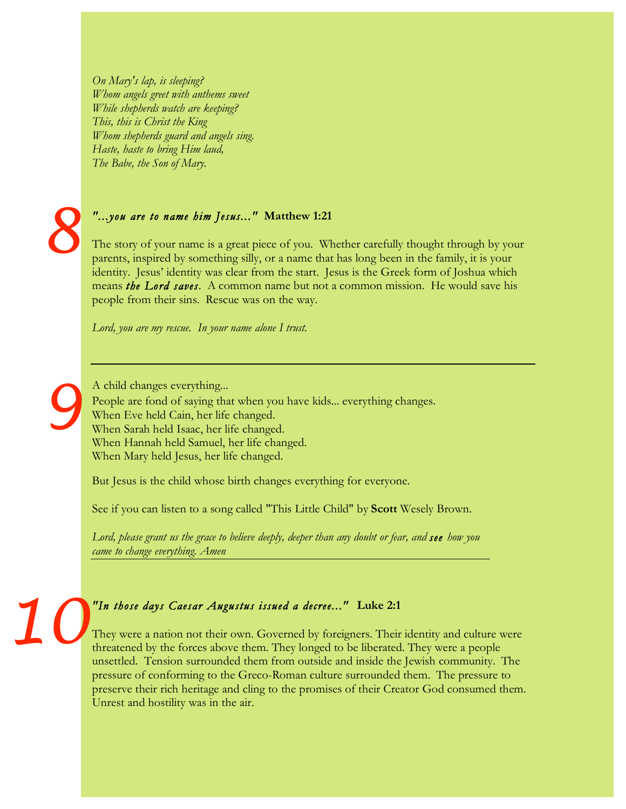*On Mary's lap, is sleeping? Whom angels greet with anthems sweet While shepherds watch are keeping? This, this is Christ the King Whom shepherds guard and angels sing. Haste, haste to bring Him laud, The Babe, the Son of Mary.*



*9*

#### *"...you are to name him Jesus..."* **Matthew 1:21**

The story of your name is a great piece of you. Whether carefully thought through by your parents, inspired by something silly, or a name that has long been in the family, it is your identity. Jesus' identity was clear from the start. Jesus is the Greek form of Joshua which means *the Lord saves*. A common name but not a common mission. He would save his people from their sins. Rescue was on the way.

*Lord, you are my rescue. In your name alone I trust.*

A child changes everything... People are fond of saying that when you have kids... everything changes. When Eve held Cain, her life changed. When Sarah held Isaac, her life changed. When Hannah held Samuel, her life changed. When Mary held Jesus, her life changed.

But Jesus is the child whose birth changes everything for everyone.

See if you can listen to a song called "This Little Child" by **Scott** Wesely Brown.

*Lord, please grant us the grace to believe deeply, deeper than any doubt or fear, and see how you came to change everything. Amen*

# *"In those days Caesar Augustus issued a decree..."* **Luke 2:1** *10*

They were a nation not their own. Governed by foreigners. Their identity and culture were threatened by the forces above them. They longed to be liberated. They were a people unsettled. Tension surrounded them from outside and inside the Jewish community. The pressure of conforming to the Greco-Roman culture surrounded them. The pressure to preserve their rich heritage and cling to the promises of their Creator God consumed them. Unrest and hostility was in the air.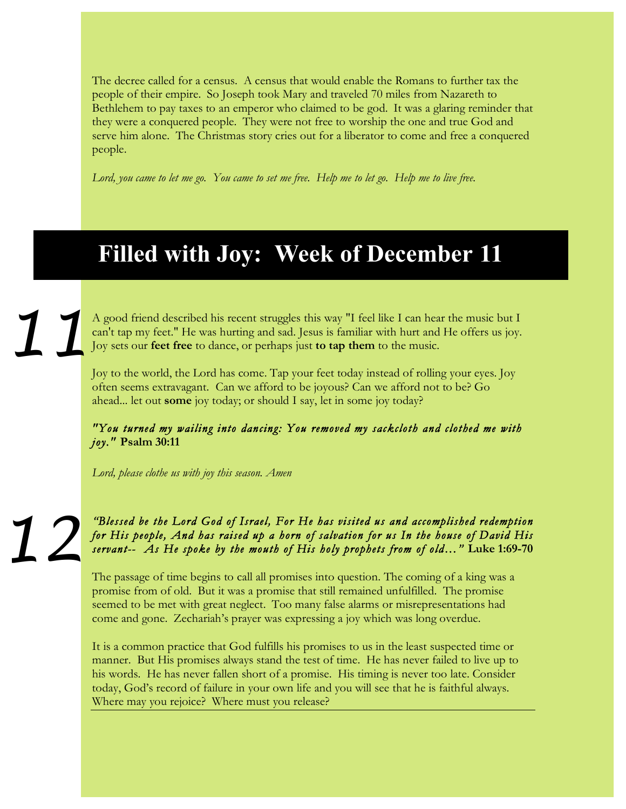The decree called for a census. A census that would enable the Romans to further tax the people of their empire. So Joseph took Mary and traveled 70 miles from Nazareth to Bethlehem to pay taxes to an emperor who claimed to be god. It was a glaring reminder that they were a conquered people. They were not free to worship the one and true God and serve him alone. The Christmas story cries out for a liberator to come and free a conquered people.

*Lord, you came to let me go. You came to set me free. Help me to let go. Help me to live free.*

## **Filled with Joy: Week of December 11**

A good friend described his recent struggles this way "I feel like I can hear the music but I can't tap my feet." He was hurting and sad. Jesus is familiar with hurt and He offers us joy. Joy sets our **feet free** to dance, or perhaps just **to tap them** to the music. *11*

Joy to the world, the Lord has come. Tap your feet today instead of rolling your eyes. Joy often seems extravagant. Can we afford to be joyous? Can we afford not to be? Go ahead... let out **some** joy today; or should I say, let in some joy today?

*"You turned my wailing into dancing: You removed my sackcloth and clothed me with joy."* **Psalm 30:11**

*Lord, please clothe us with joy this season. Amen*

*"Blessed be the Lord God of Israel, For He has visited us and accomplished redemption for His people, And has raised up a horn of salvation for us In the house of David His servant-- As He spoke by the mouth of His holy prophets from of old…"* **Luke 1:69-70** *12*

The passage of time begins to call all promises into question. The coming of a king was a promise from of old. But it was a promise that still remained unfulfilled. The promise seemed to be met with great neglect. Too many false alarms or misrepresentations had come and gone. Zechariah's prayer was expressing a joy which was long overdue.

It is a common practice that God fulfills his promises to us in the least suspected time or manner. But His promises always stand the test of time. He has never failed to live up to his words. He has never fallen short of a promise. His timing is never too late. Consider today, God's record of failure in your own life and you will see that he is faithful always. Where may you rejoice? Where must you release?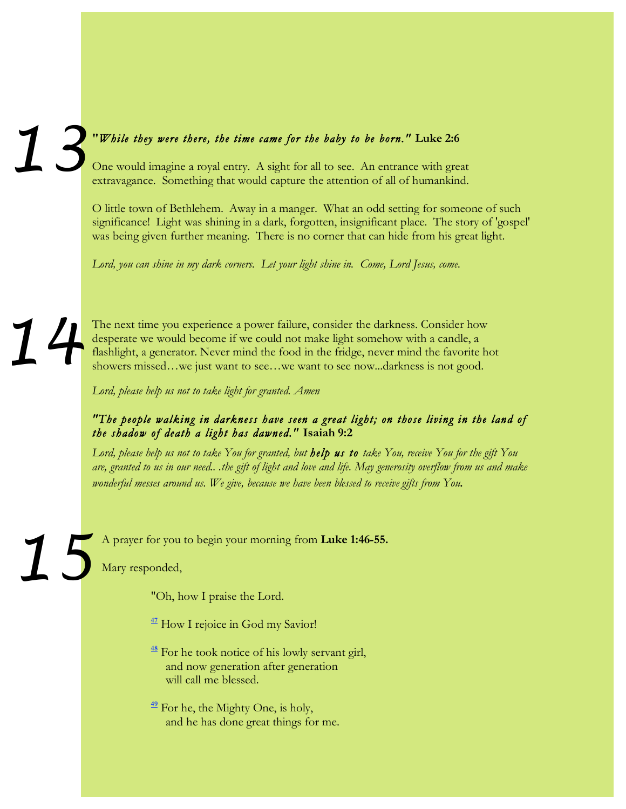### **"***While they were there, the time came for the baby to be born."* **Luke 2:6** One would imagine a royal entry. A sight for all to see. An entrance with great *13*

extravagance. Something that would capture the attention of all of humankind.

O little town of Bethlehem. Away in a manger. What an odd setting for someone of such significance! Light was shining in a dark, forgotten, insignificant place. The story of 'gospel' was being given further meaning. There is no corner that can hide from his great light.

*Lord, you can shine in my dark corners. Let your light shine in. Come, Lord Jesus, come.*

*14*

*15*

The next time you experience a power failure, consider the darkness. Consider how desperate we would become if we could not make light somehow with a candle, a flashlight, a generator. Never mind the food in the fridge, never mind the favorite hot showers missed…we just want to see…we want to see now...darkness is not good.

*Lord, please help us not to take light for granted. Amen*

### *"The people walking in darkness have seen a great light; on those living in the land of the shadow of death a light has dawned."* **Isaiah 9:2**

*Lord, please help us not to take You for granted, but help us to take You, receive You for the gift You are, granted to us in our need.. .the gift of light and love and life. May generosity overflow from us and make wonderful messes around us. We give, because we have been blessed to receive gifts from You.*

A prayer for you to begin your morning from **Luke 1:46-55.**

Mary responded,

"Oh, how I praise the Lord.

<sup>47</sup> How I rejoice in God my Savior!

**<sup>48</sup>** For he took notice of his lowly servant girl, and now generation after generation will call me blessed.

**<sup>49</sup>** For he, the Mighty One, is holy, and he has done great things for me.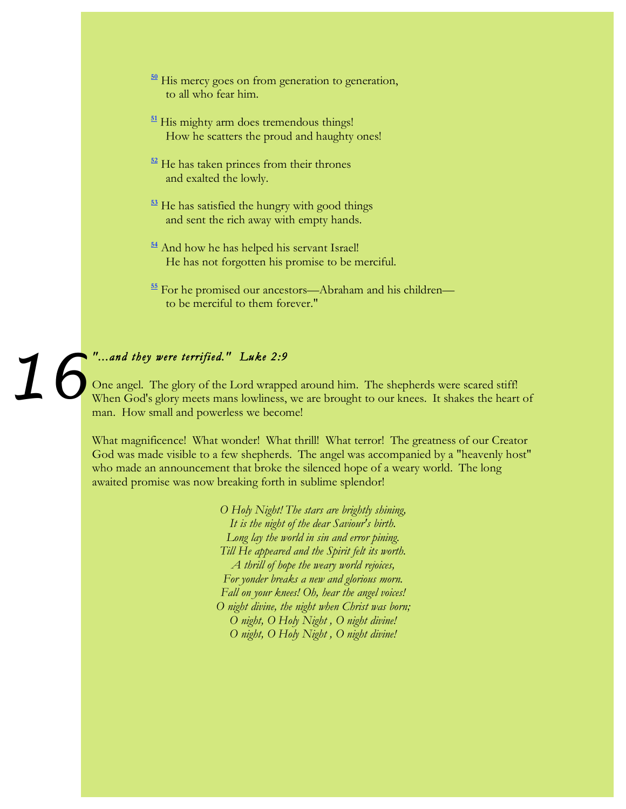- **<sup>50</sup>** His mercy goes on from generation to generation, to all who fear him.
- **<sup>51</sup>** His mighty arm does tremendous things! How he scatters the proud and haughty ones!
- **<sup>52</sup>** He has taken princes from their thrones and exalted the lowly.
- **<sup>53</sup>** He has satisfied the hungry with good things and sent the rich away with empty hands.
- **<sup>54</sup>** And how he has helped his servant Israel! He has not forgotten his promise to be merciful.
- **<sup>55</sup>** For he promised our ancestors—Abraham and his children to be merciful to them forever."

# *"...and they were terrified." Luke 2:9 16*

One angel. The glory of the Lord wrapped around him. The shepherds were scared stiff! When God's glory meets mans lowliness, we are brought to our knees. It shakes the heart of man. How small and powerless we become!

What magnificence! What wonder! What thrill! What terror! The greatness of our Creator God was made visible to a few shepherds. The angel was accompanied by a "heavenly host" who made an announcement that broke the silenced hope of a weary world. The long awaited promise was now breaking forth in sublime splendor!

> *O Holy Night! The stars are brightly shining, It is the night of the dear Saviour's birth. Long lay the world in sin and error pining. Till He appeared and the Spirit felt its worth. A thrill of hope the weary world rejoices, For yonder breaks a new and glorious morn. Fall on your knees! Oh, hear the angel voices! O night divine, the night when Christ was born; O night, O Holy Night , O night divine! O night, O Holy Night , O night divine!*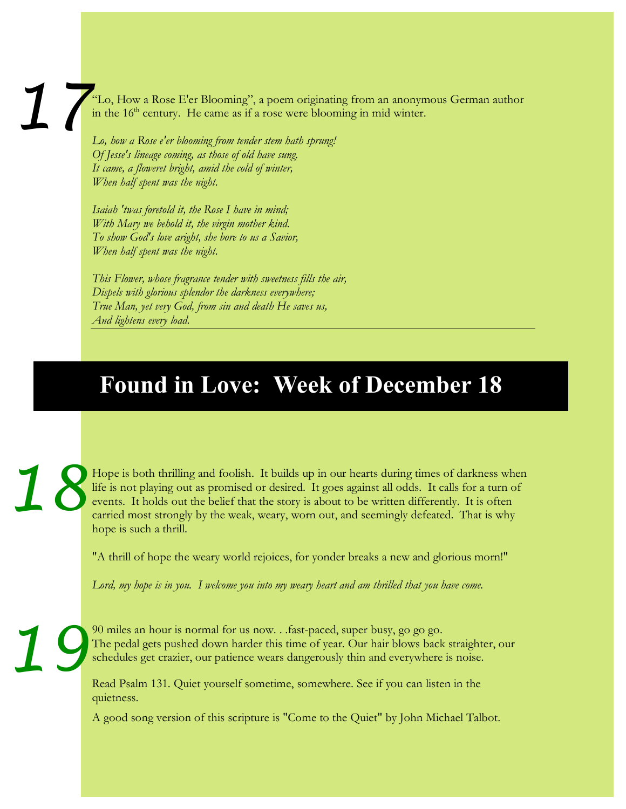"Lo, How a Rose E'er Blooming", a poem originating from an anonymous German author in the  $16<sup>th</sup>$  century. He came as if a rose were blooming in mid winter. *17*

*Lo, how a Rose e'er blooming from tender stem hath sprung! Of Jesse's lineage coming, as those of old have sung. It came, a floweret bright, amid the cold of winter, When half spent was the night.*

*Isaiah 'twas foretold it, the Rose I have in mind; With Mary we behold it, the virgin mother kind. To show God's love aright, she bore to us a Savior, When half spent was the night.*

*This Flower, whose fragrance tender with sweetness fills the air, Dispels with glorious splendor the darkness everywhere; True Man, yet very God, from sin and death He saves us, And lightens every load*.

# **Found in Love: Week of December 18**

Hope is both thrilling and foolish. It builds up in our hearts during times of darkness when life is not playing out as promised or desired. It goes against all odds. It calls for a turn of events. It holds out the belief that the story is about to be written differently. It is often carried most strongly by the weak, weary, worn out, and seemingly defeated. That is why hope is such a thrill. *18*

"A thrill of hope the weary world rejoices, for yonder breaks a new and glorious morn!"

*Lord, my hope is in you. I welcome you into my weary heart and am thrilled that you have come.*

*19*

90 miles an hour is normal for us now. . .fast-paced, super busy, go go go. The pedal gets pushed down harder this time of year. Our hair blows back straighter, our schedules get crazier, our patience wears dangerously thin and everywhere is noise.

Read Psalm 131. Quiet yourself sometime, somewhere. See if you can listen in the quietness.

A good song version of this scripture is "Come to the Quiet" by John Michael Talbot.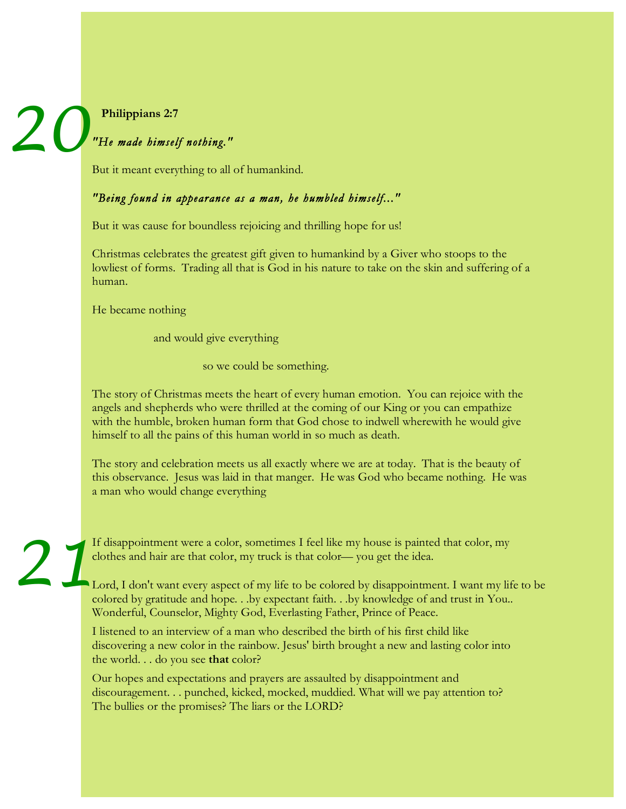# **Philippians 2:7** *20*

### *"He made himself nothing."*

But it meant everything to all of humankind.

### *"Being found in appearance as a man, he humbled himself..."*

But it was cause for boundless rejoicing and thrilling hope for us!

Christmas celebrates the greatest gift given to humankind by a Giver who stoops to the lowliest of forms. Trading all that is God in his nature to take on the skin and suffering of a human.

He became nothing

and would give everything

so we could be something.

The story of Christmas meets the heart of every human emotion. You can rejoice with the angels and shepherds who were thrilled at the coming of our King or you can empathize with the humble, broken human form that God chose to indwell wherewith he would give himself to all the pains of this human world in so much as death.

The story and celebration meets us all exactly where we are at today. That is the beauty of this observance. Jesus was laid in that manger. He was God who became nothing. He was a man who would change everything

If disappointment were a color, sometimes I feel like my house is painted that color, my clothes and hair are that color, my truck is that color— you get the idea. *21*

Lord, I don't want every aspect of my life to be colored by disappointment. I want my life to be colored by gratitude and hope. . .by expectant faith. . .by knowledge of and trust in You.. Wonderful, Counselor, Mighty God, Everlasting Father, Prince of Peace.

I listened to an interview of a man who described the birth of his first child like discovering a new color in the rainbow. Jesus' birth brought a new and lasting color into the world. . . do you see **that** color?

Our hopes and expectations and prayers are assaulted by disappointment and discouragement. . . punched, kicked, mocked, muddied. What will we pay attention to? The bullies or the promises? The liars or the LORD?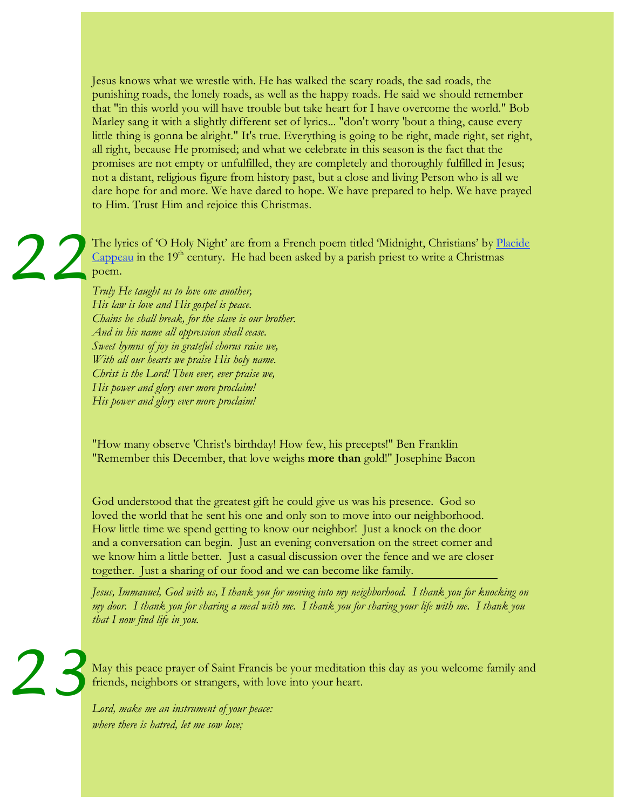Jesus knows what we wrestle with. He has walked the scary roads, the sad roads, the punishing roads, the lonely roads, as well as the happy roads. He said we should remember that "in this world you will have trouble but take heart for I have overcome the world." Bob Marley sang it with a slightly different set of lyrics... "don't worry 'bout a thing, cause every little thing is gonna be alright." It's true. Everything is going to be right, made right, set right, all right, because He promised; and what we celebrate in this season is the fact that the promises are not empty or unfulfilled, they are completely and thoroughly fulfilled in Jesus; not a distant, religious figure from history past, but a close and living Person who is all we dare hope for and more. We have dared to hope. We have prepared to help. We have prayed to Him. Trust Him and rejoice this Christmas.

The lyrics of 'O Holy Night' are from a French poem titled 'Midnight, Christians' by Placide Cappeau in the  $19<sup>th</sup>$  century. He had been asked by a parish priest to write a Christmas poem. *22*

*Truly He taught us to love one another, His law is love and His gospel is peace. Chains he shall break, for the slave is our brother. And in his name all oppression shall cease. Sweet hymns of joy in grateful chorus raise we, With all our hearts we praise His holy name. Christ is the Lord! Then ever, ever praise we, His power and glory ever more proclaim! His power and glory ever more proclaim!*

"How many observe 'Christ's birthday! How few, his precepts!" Ben Franklin "Remember this December, that love weighs **more than** gold!" Josephine Bacon

God understood that the greatest gift he could give us was his presence. God so loved the world that he sent his one and only son to move into our neighborhood. How little time we spend getting to know our neighbor! Just a knock on the door and a conversation can begin. Just an evening conversation on the street corner and we know him a little better. Just a casual discussion over the fence and we are closer together. Just a sharing of our food and we can become like family.

*Jesus, Immanuel, God with us, I thank you for moving into my neighborhood. I thank you for knocking on my door. I thank you for sharing a meal with me. I thank you for sharing your life with me. I thank you that I now find life in you.*

May this peace prayer of Saint Francis be your meditation this day as you welcome family and friends, neighbors or strangers, with love into your heart. *23*

*Lord, make me an instrument of your peace: where there is hatred, let me sow love;*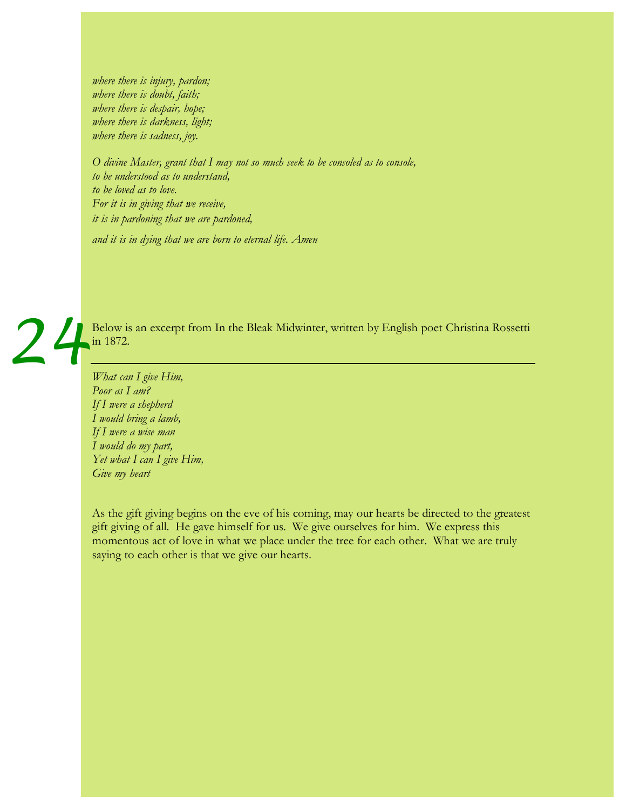*where there is injury, pardon; where there is doubt, faith; where there is despair, hope; where there is darkness, light; where there is sadness, joy.*

*O divine Master, grant that I may not so much seek to be consoled as to console, to be understood as to understand, to be loved as to love. For it is in giving that we receive, it is in pardoning that we are pardoned, and it is in dying that we are born to eternal life. Amen*

Below is an excerpt from In the Bleak Midwinter, written by English poet Christina Rossetti in 1872. *24*

*What can I give Him, Poor as I am? If I were a shepherd I would bring a lamb, If I were a wise man I would do my part, Yet what I can I give Him, Give my heart*

As the gift giving begins on the eve of his coming, may our hearts be directed to the greatest gift giving of all. He gave himself for us. We give ourselves for him. We express this momentous act of love in what we place under the tree for each other. What we are truly saying to each other is that we give our hearts.